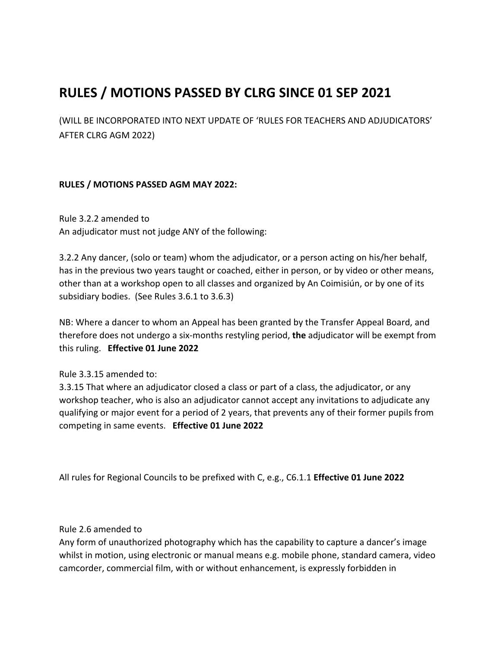# **RULES / MOTIONS PASSED BY CLRG SINCE 01 SEP 2021**

(WILL BE INCORPORATED INTO NEXT UPDATE OF 'RULES FOR TEACHERS AND ADJUDICATORS' AFTER CLRG AGM 2022)

# **RULES / MOTIONS PASSED AGM MAY 2022:**

Rule 3.2.2 amended to An adjudicator must not judge ANY of the following:

3.2.2 Any dancer, (solo or team) whom the adjudicator, or a person acting on his/her behalf, has in the previous two years taught or coached, either in person, or by video or other means, other than at a workshop open to all classes and organized by An Coimisiún, or by one of its subsidiary bodies. (See Rules 3.6.1 to 3.6.3)

NB: Where a dancer to whom an Appeal has been granted by the Transfer Appeal Board, and therefore does not undergo a six-months restyling period, **the** adjudicator will be exempt from this ruling. **Effective 01 June 2022** 

Rule 3.3.15 amended to:

3.3.15 That where an adjudicator closed a class or part of a class, the adjudicator, or any workshop teacher, who is also an adjudicator cannot accept any invitations to adjudicate any qualifying or major event for a period of 2 years, that prevents any of their former pupils from competing in same events. **Effective 01 June 2022** 

All rules for Regional Councils to be prefixed with C, e.g., C6.1.1 **Effective 01 June 2022** 

Rule 2.6 amended to

Any form of unauthorized photography which has the capability to capture a dancer's image whilst in motion, using electronic or manual means e.g. mobile phone, standard camera, video camcorder, commercial film, with or without enhancement, is expressly forbidden in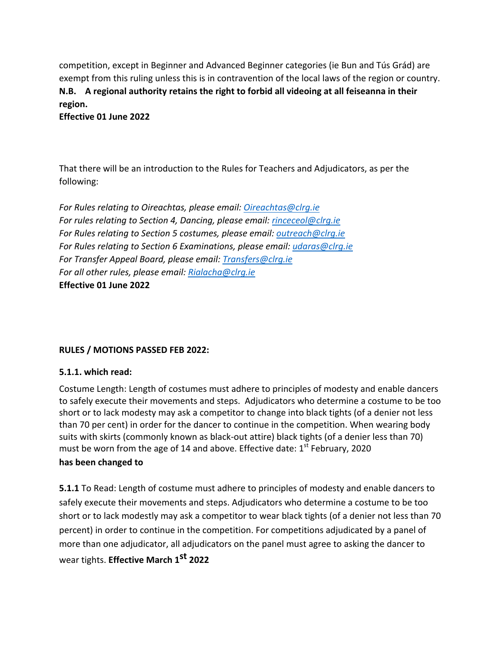competition, except in Beginner and Advanced Beginner categories (ie Bun and Tús Grád) are exempt from this ruling unless this is in contravention of the local laws of the region or country. **N.B.** A regional authority retains the right to forbid all videoing at all feiseanna in their **region.**

**Effective 01 June 2022** 

That there will be an introduction to the Rules for Teachers and Adjudicators, as per the following: 

*For Rules relating to Oireachtas, please email: Oireachtas@clrg.ie For rules relating to Section 4, Dancing, please email: rinceceol@clrg.ie For Rules relating to Section 5 costumes, please email: outreach@clrg.ie For Rules relating to Section 6 Examinations, please email: udaras@clrg.ie For Transfer Appeal Board, please email: Transfers@clrg.ie For all other rules, please email: Rialacha@clrg.ie* **Effective 01 June 2022** 

# **RULES / MOTIONS PASSED FEB 2022:**

#### **5.1.1. which read:**

Costume Length: Length of costumes must adhere to principles of modesty and enable dancers to safely execute their movements and steps. Adjudicators who determine a costume to be too short or to lack modesty may ask a competitor to change into black tights (of a denier not less than 70 per cent) in order for the dancer to continue in the competition. When wearing body suits with skirts (commonly known as black-out attire) black tights (of a denier less than 70) must be worn from the age of 14 and above. Effective date:  $1<sup>st</sup>$  February, 2020

# has been changed to

**5.1.1** To Read: Length of costume must adhere to principles of modesty and enable dancers to safely execute their movements and steps. Adjudicators who determine a costume to be too short or to lack modestly may ask a competitor to wear black tights (of a denier not less than 70 percent) in order to continue in the competition. For competitions adjudicated by a panel of more than one adjudicator, all adjudicators on the panel must agree to asking the dancer to wear tights. **Effective March 1st 2022**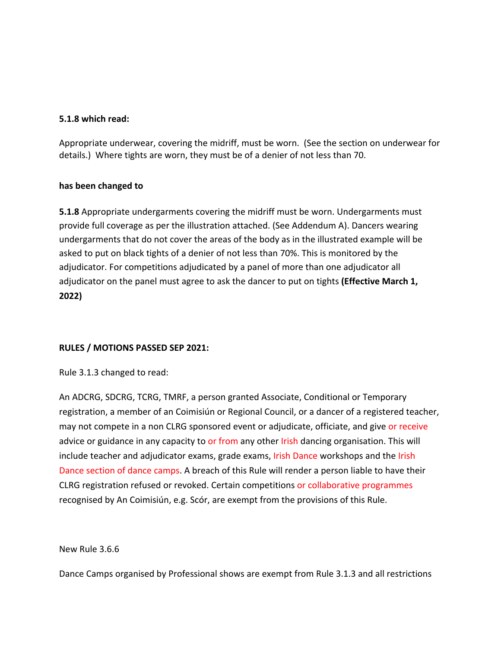#### **5.1.8 which read:**

Appropriate underwear, covering the midriff, must be worn. (See the section on underwear for details.) Where tights are worn, they must be of a denier of not less than 70.

#### has been changed to

**5.1.8** Appropriate undergarments covering the midriff must be worn. Undergarments must provide full coverage as per the illustration attached. (See Addendum A). Dancers wearing undergarments that do not cover the areas of the body as in the illustrated example will be asked to put on black tights of a denier of not less than 70%. This is monitored by the adjudicator. For competitions adjudicated by a panel of more than one adjudicator all adjudicator on the panel must agree to ask the dancer to put on tights (**Effective March 1, 2022)**

#### **RULES / MOTIONS PASSED SEP 2021:**

Rule 3.1.3 changed to read:

An ADCRG, SDCRG, TCRG, TMRF, a person granted Associate, Conditional or Temporary registration, a member of an Coimisiún or Regional Council, or a dancer of a registered teacher, may not compete in a non CLRG sponsored event or adjudicate, officiate, and give or receive advice or guidance in any capacity to or from any other Irish dancing organisation. This will include teacher and adjudicator exams, grade exams, Irish Dance workshops and the Irish Dance section of dance camps. A breach of this Rule will render a person liable to have their CLRG registration refused or revoked. Certain competitions or collaborative programmes recognised by An Coimisiún, e.g. Scór, are exempt from the provisions of this Rule.

#### New Rule 3.6.6

Dance Camps organised by Professional shows are exempt from Rule 3.1.3 and all restrictions